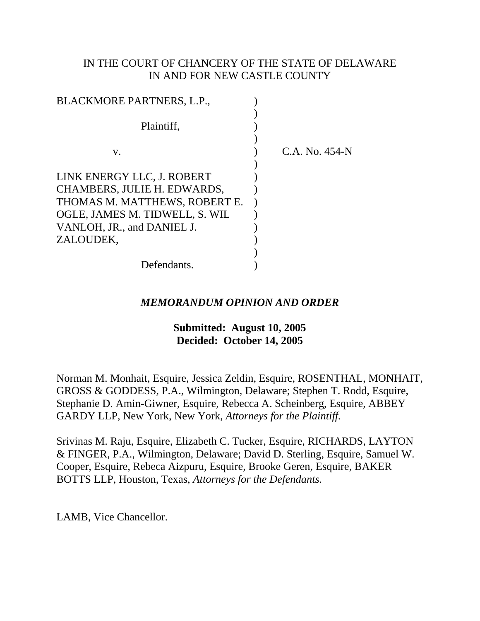# IN THE COURT OF CHANCERY OF THE STATE OF DELAWARE IN AND FOR NEW CASTLE COUNTY

| BLACKMORE PARTNERS, L.P.,                                                                                                                                  |                |
|------------------------------------------------------------------------------------------------------------------------------------------------------------|----------------|
| Plaintiff,                                                                                                                                                 |                |
| V.                                                                                                                                                         | C.A. No. 454-N |
| LINK ENERGY LLC, J. ROBERT<br>CHAMBERS, JULIE H. EDWARDS,<br>THOMAS M. MATTHEWS, ROBERT E.<br>OGLE, JAMES M. TIDWELL, S. WIL<br>VANLOH, JR., and DANIEL J. |                |
| ZALOUDEK,                                                                                                                                                  |                |
| Defendants.                                                                                                                                                |                |

## *MEMORANDUM OPINION AND ORDER*

## **Submitted: August 10, 2005 Decided: October 14, 2005**

Norman M. Monhait, Esquire, Jessica Zeldin, Esquire, ROSENTHAL, MONHAIT, GROSS & GODDESS, P.A., Wilmington, Delaware; Stephen T. Rodd, Esquire, Stephanie D. Amin-Giwner, Esquire, Rebecca A. Scheinberg, Esquire, ABBEY GARDY LLP, New York, New York, *Attorneys for the Plaintiff.*

Srivinas M. Raju, Esquire, Elizabeth C. Tucker, Esquire, RICHARDS, LAYTON & FINGER, P.A., Wilmington, Delaware; David D. Sterling, Esquire, Samuel W. Cooper, Esquire, Rebeca Aizpuru, Esquire, Brooke Geren, Esquire, BAKER BOTTS LLP, Houston, Texas, *Attorneys for the Defendants.*

LAMB, Vice Chancellor.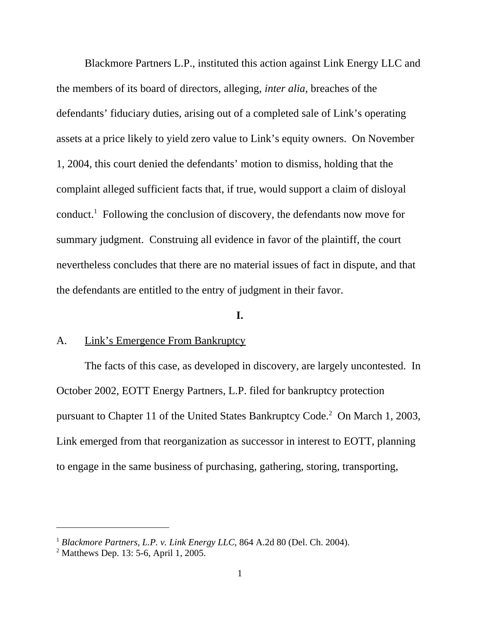Blackmore Partners L.P., instituted this action against Link Energy LLC and the members of its board of directors, alleging, *inter alia*, breaches of the defendants' fiduciary duties, arising out of a completed sale of Link's operating assets at a price likely to yield zero value to Link's equity owners. On November 1, 2004, this court denied the defendants' motion to dismiss, holding that the complaint alleged sufficient facts that, if true, would support a claim of disloyal conduct.<sup>1</sup> Following the conclusion of discovery, the defendants now move for summary judgment. Construing all evidence in favor of the plaintiff, the court nevertheless concludes that there are no material issues of fact in dispute, and that the defendants are entitled to the entry of judgment in their favor.

#### **I.**

### A. Link's Emergence From Bankruptcy

The facts of this case, as developed in discovery, are largely uncontested. In October 2002, EOTT Energy Partners, L.P. filed for bankruptcy protection pursuant to Chapter 11 of the United States Bankruptcy Code.<sup>2</sup> On March 1, 2003, Link emerged from that reorganization as successor in interest to EOTT, planning to engage in the same business of purchasing, gathering, storing, transporting,

<sup>1</sup> *Blackmore Partners, L.P. v. Link Energy LLC*, 864 A.2d 80 (Del. Ch. 2004).

<sup>2</sup> Matthews Dep. 13: 5-6, April 1, 2005.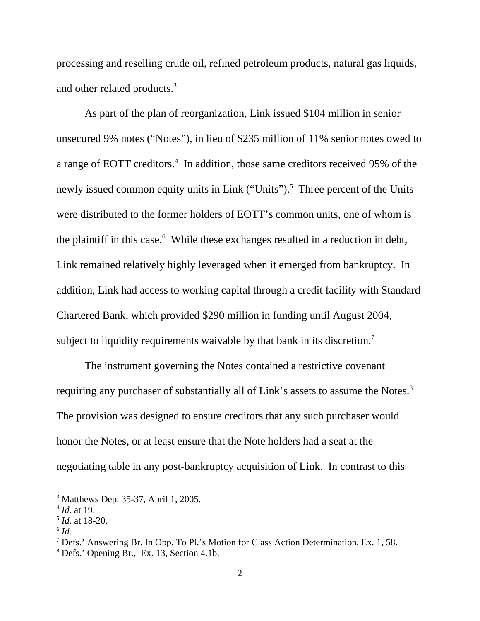processing and reselling crude oil, refined petroleum products, natural gas liquids, and other related products.<sup>3</sup>

As part of the plan of reorganization, Link issued \$104 million in senior unsecured 9% notes ("Notes"), in lieu of \$235 million of 11% senior notes owed to a range of EOTT creditors.<sup>4</sup> In addition, those same creditors received 95% of the newly issued common equity units in Link ("Units").<sup>5</sup> Three percent of the Units were distributed to the former holders of EOTT's common units, one of whom is the plaintiff in this case.<sup>6</sup> While these exchanges resulted in a reduction in debt, Link remained relatively highly leveraged when it emerged from bankruptcy. In addition, Link had access to working capital through a credit facility with Standard Chartered Bank, which provided \$290 million in funding until August 2004, subject to liquidity requirements waivable by that bank in its discretion.<sup>7</sup>

The instrument governing the Notes contained a restrictive covenant requiring any purchaser of substantially all of Link's assets to assume the Notes.<sup>8</sup> The provision was designed to ensure creditors that any such purchaser would honor the Notes, or at least ensure that the Note holders had a seat at the negotiating table in any post-bankruptcy acquisition of Link. In contrast to this

<sup>3</sup> Matthews Dep. 35-37, April 1, 2005.

<sup>4</sup> *Id.* at 19.

<sup>5</sup> *Id.* at 18-20.

 $^6$  *Id.* 

<sup>&</sup>lt;sup>7</sup> Defs.' Answering Br. In Opp. To Pl.'s Motion for Class Action Determination, Ex. 1, 58.

<sup>8</sup> Defs.' Opening Br., Ex. 13, Section 4.1b.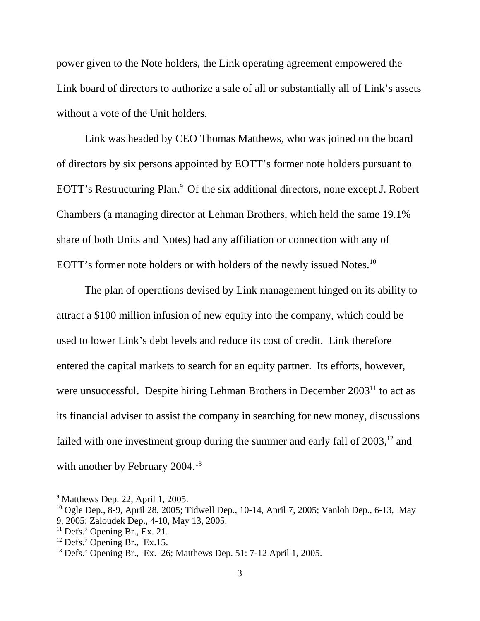power given to the Note holders, the Link operating agreement empowered the Link board of directors to authorize a sale of all or substantially all of Link's assets without a vote of the Unit holders.

Link was headed by CEO Thomas Matthews, who was joined on the board of directors by six persons appointed by EOTT's former note holders pursuant to EOTT's Restructuring Plan.<sup>9</sup> Of the six additional directors, none except J. Robert Chambers (a managing director at Lehman Brothers, which held the same 19.1% share of both Units and Notes) had any affiliation or connection with any of EOTT's former note holders or with holders of the newly issued Notes.<sup>10</sup>

The plan of operations devised by Link management hinged on its ability to attract a \$100 million infusion of new equity into the company, which could be used to lower Link's debt levels and reduce its cost of credit. Link therefore entered the capital markets to search for an equity partner. Its efforts, however, were unsuccessful. Despite hiring Lehman Brothers in December 2003<sup>11</sup> to act as its financial adviser to assist the company in searching for new money, discussions failed with one investment group during the summer and early fall of  $2003$ ,<sup>12</sup> and with another by February 2004.<sup>13</sup>

<sup>&</sup>lt;sup>9</sup> Matthews Dep. 22, April 1, 2005.

<sup>&</sup>lt;sup>10</sup> Ogle Dep., 8-9, April 28, 2005; Tidwell Dep., 10-14, April 7, 2005; Vanloh Dep., 6-13, May

<sup>9, 2005;</sup> Zaloudek Dep., 4-10, May 13, 2005.

 $11$  Defs.' Opening Br., Ex. 21.

 $12$  Defs.' Opening Br., Ex.15.

<sup>&</sup>lt;sup>13</sup> Defs.' Opening Br., Ex. 26; Matthews Dep. 51: 7-12 April 1, 2005.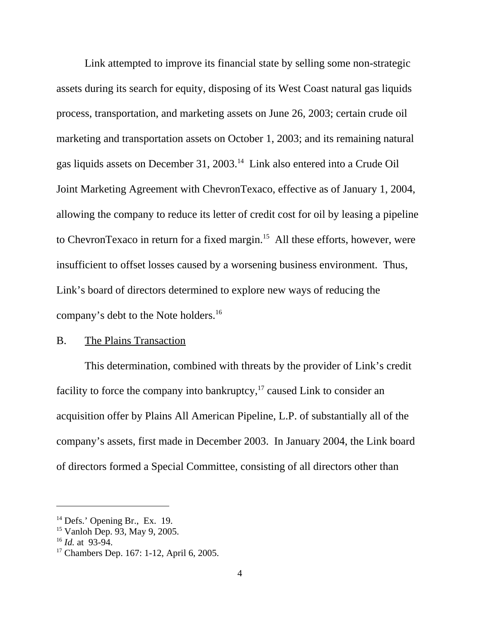Link attempted to improve its financial state by selling some non-strategic assets during its search for equity, disposing of its West Coast natural gas liquids process, transportation, and marketing assets on June 26, 2003; certain crude oil marketing and transportation assets on October 1, 2003; and its remaining natural gas liquids assets on December 31, 2003.14 Link also entered into a Crude Oil Joint Marketing Agreement with ChevronTexaco, effective as of January 1, 2004, allowing the company to reduce its letter of credit cost for oil by leasing a pipeline to ChevronTexaco in return for a fixed margin.15 All these efforts, however, were insufficient to offset losses caused by a worsening business environment. Thus, Link's board of directors determined to explore new ways of reducing the company's debt to the Note holders.16

### B. The Plains Transaction

This determination, combined with threats by the provider of Link's credit facility to force the company into bankruptcy, $17$  caused Link to consider an acquisition offer by Plains All American Pipeline, L.P. of substantially all of the company's assets, first made in December 2003. In January 2004, the Link board of directors formed a Special Committee, consisting of all directors other than

 $14$  Defs.' Opening Br., Ex. 19.

<sup>15</sup> Vanloh Dep. 93, May 9, 2005.

<sup>16</sup> *Id.* at 93-94.

<sup>&</sup>lt;sup>17</sup> Chambers Dep. 167: 1-12, April 6, 2005.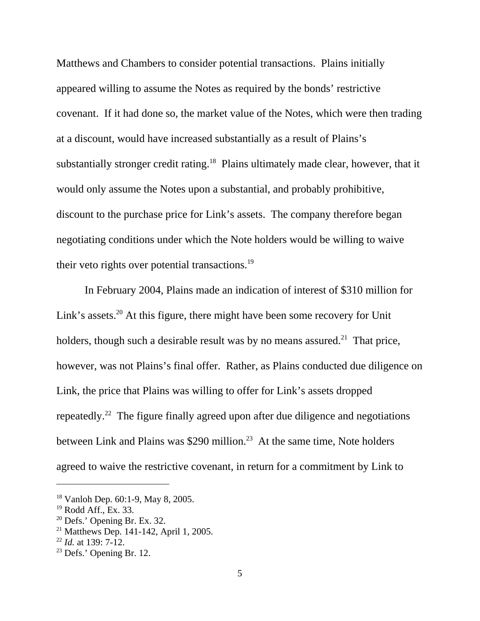Matthews and Chambers to consider potential transactions. Plains initially appeared willing to assume the Notes as required by the bonds' restrictive covenant. If it had done so, the market value of the Notes, which were then trading at a discount, would have increased substantially as a result of Plains's substantially stronger credit rating.<sup>18</sup> Plains ultimately made clear, however, that it would only assume the Notes upon a substantial, and probably prohibitive, discount to the purchase price for Link's assets. The company therefore began negotiating conditions under which the Note holders would be willing to waive their veto rights over potential transactions. $^{19}$ 

 In February 2004, Plains made an indication of interest of \$310 million for Link's assets.<sup>20</sup> At this figure, there might have been some recovery for Unit holders, though such a desirable result was by no means assured.<sup>21</sup> That price, however, was not Plains's final offer. Rather, as Plains conducted due diligence on Link, the price that Plains was willing to offer for Link's assets dropped repeatedly.22 The figure finally agreed upon after due diligence and negotiations between Link and Plains was \$290 million.<sup>23</sup> At the same time, Note holders agreed to waive the restrictive covenant, in return for a commitment by Link to

<sup>18</sup> Vanloh Dep. 60:1-9, May 8, 2005.

<sup>19</sup> Rodd Aff., Ex. 33.

 $20$  Defs.' Opening Br. Ex. 32.

<sup>&</sup>lt;sup>21</sup> Matthews Dep. 141-142, April 1, 2005.

<sup>22</sup> *Id.* at 139: 7-12.

<sup>23</sup> Defs.' Opening Br. 12.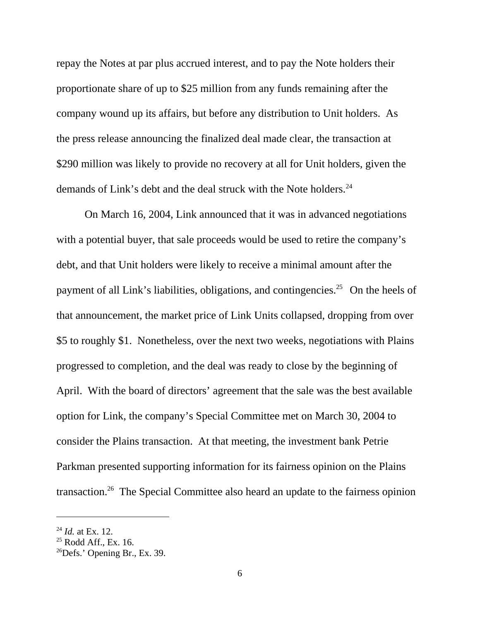repay the Notes at par plus accrued interest, and to pay the Note holders their proportionate share of up to \$25 million from any funds remaining after the company wound up its affairs, but before any distribution to Unit holders. As the press release announcing the finalized deal made clear, the transaction at \$290 million was likely to provide no recovery at all for Unit holders, given the demands of Link's debt and the deal struck with the Note holders.<sup>24</sup>

 On March 16, 2004, Link announced that it was in advanced negotiations with a potential buyer, that sale proceeds would be used to retire the company's debt, and that Unit holders were likely to receive a minimal amount after the payment of all Link's liabilities, obligations, and contingencies.<sup>25</sup> On the heels of that announcement, the market price of Link Units collapsed, dropping from over \$5 to roughly \$1. Nonetheless, over the next two weeks, negotiations with Plains progressed to completion, and the deal was ready to close by the beginning of April. With the board of directors' agreement that the sale was the best available option for Link, the company's Special Committee met on March 30, 2004 to consider the Plains transaction. At that meeting, the investment bank Petrie Parkman presented supporting information for its fairness opinion on the Plains transaction.26 The Special Committee also heard an update to the fairness opinion

<sup>24</sup> *Id.* at Ex. 12.

 $25$  Rodd Aff., Ex. 16.

 $^{26}$ Defs.' Opening Br., Ex. 39.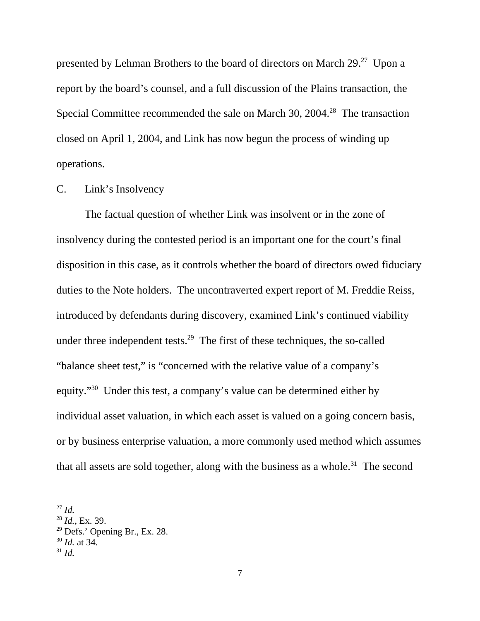presented by Lehman Brothers to the board of directors on March 29.<sup>27</sup> Upon a report by the board's counsel, and a full discussion of the Plains transaction, the Special Committee recommended the sale on March 30, 2004.<sup>28</sup> The transaction closed on April 1, 2004, and Link has now begun the process of winding up operations.

#### C. Link's Insolvency

The factual question of whether Link was insolvent or in the zone of insolvency during the contested period is an important one for the court's final disposition in this case, as it controls whether the board of directors owed fiduciary duties to the Note holders. The uncontraverted expert report of M. Freddie Reiss, introduced by defendants during discovery, examined Link's continued viability under three independent tests.<sup>29</sup> The first of these techniques, the so-called "balance sheet test," is "concerned with the relative value of a company's equity."30 Under this test, a company's value can be determined either by individual asset valuation, in which each asset is valued on a going concern basis, or by business enterprise valuation, a more commonly used method which assumes that all assets are sold together, along with the business as a whole.<sup>31</sup> The second

 $^{27}$  *Id.* 

<sup>28</sup> *Id.*, Ex. 39.

 $29$  Defs.' Opening Br., Ex. 28.

<sup>30</sup> *Id.* at 34.

 $31$  *Id.*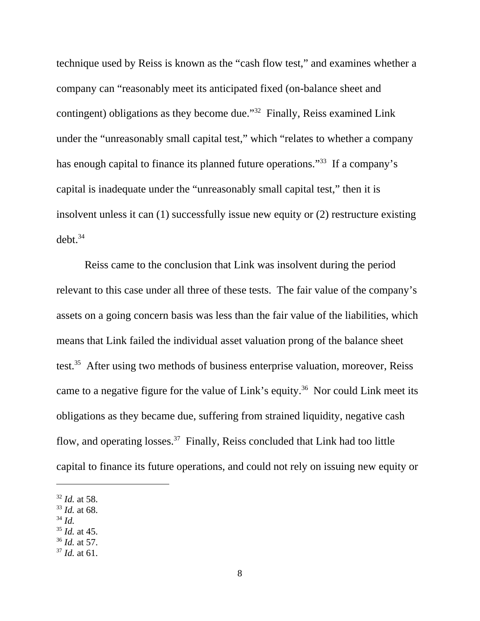technique used by Reiss is known as the "cash flow test," and examines whether a company can "reasonably meet its anticipated fixed (on-balance sheet and contingent) obligations as they become due."32 Finally, Reiss examined Link under the "unreasonably small capital test," which "relates to whether a company has enough capital to finance its planned future operations."<sup>33</sup> If a company's capital is inadequate under the "unreasonably small capital test," then it is insolvent unless it can (1) successfully issue new equity or (2) restructure existing  $debt.<sup>34</sup>$ 

Reiss came to the conclusion that Link was insolvent during the period relevant to this case under all three of these tests. The fair value of the company's assets on a going concern basis was less than the fair value of the liabilities, which means that Link failed the individual asset valuation prong of the balance sheet test.<sup>35</sup> After using two methods of business enterprise valuation, moreover, Reiss came to a negative figure for the value of Link's equity.<sup>36</sup> Nor could Link meet its obligations as they became due, suffering from strained liquidity, negative cash flow, and operating losses.<sup>37</sup> Finally, Reiss concluded that Link had too little capital to finance its future operations, and could not rely on issuing new equity or

- <sup>33</sup> *Id.* at 68.
- <sup>34</sup> *Id.*
- <sup>35</sup> *Id.* at 45.
- <sup>36</sup> *Id.* at 57.
- <sup>37</sup> *Id.* at 61.

<sup>32</sup> *Id.* at 58.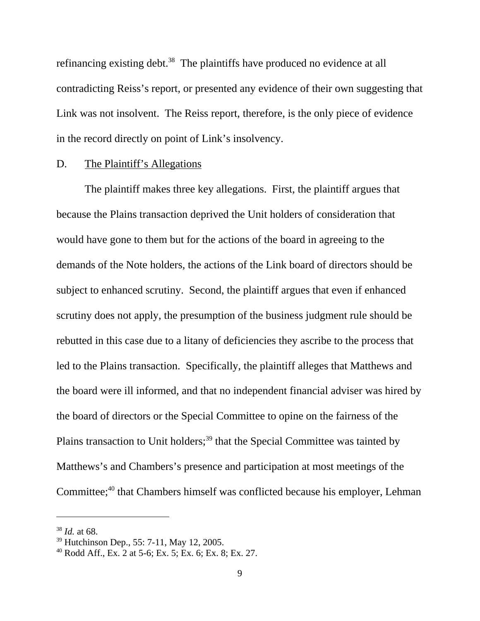refinancing existing debt.<sup>38</sup> The plaintiffs have produced no evidence at all contradicting Reiss's report, or presented any evidence of their own suggesting that Link was not insolvent. The Reiss report, therefore, is the only piece of evidence in the record directly on point of Link's insolvency.

#### D. The Plaintiff's Allegations

The plaintiff makes three key allegations. First, the plaintiff argues that because the Plains transaction deprived the Unit holders of consideration that would have gone to them but for the actions of the board in agreeing to the demands of the Note holders, the actions of the Link board of directors should be subject to enhanced scrutiny. Second, the plaintiff argues that even if enhanced scrutiny does not apply, the presumption of the business judgment rule should be rebutted in this case due to a litany of deficiencies they ascribe to the process that led to the Plains transaction. Specifically, the plaintiff alleges that Matthews and the board were ill informed, and that no independent financial adviser was hired by the board of directors or the Special Committee to opine on the fairness of the Plains transaction to Unit holders;<sup>39</sup> that the Special Committee was tainted by Matthews's and Chambers's presence and participation at most meetings of the Committee;<sup>40</sup> that Chambers himself was conflicted because his employer, Lehman

<sup>38</sup> *Id.* at 68.

<sup>39</sup> Hutchinson Dep., 55: 7-11, May 12, 2005.

 $40$  Rodd Aff., Ex. 2 at 5-6; Ex. 5; Ex. 6; Ex. 8; Ex. 27.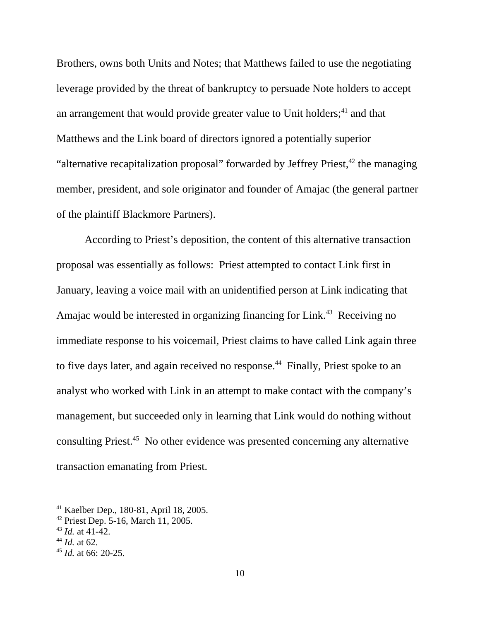Brothers, owns both Units and Notes; that Matthews failed to use the negotiating leverage provided by the threat of bankruptcy to persuade Note holders to accept an arrangement that would provide greater value to Unit holders; $^{41}$  and that Matthews and the Link board of directors ignored a potentially superior "alternative recapitalization proposal" forwarded by Jeffrey Priest,  $42$  the managing member, president, and sole originator and founder of Amajac (the general partner of the plaintiff Blackmore Partners).

According to Priest's deposition, the content of this alternative transaction proposal was essentially as follows: Priest attempted to contact Link first in January, leaving a voice mail with an unidentified person at Link indicating that Amajac would be interested in organizing financing for Link.<sup>43</sup> Receiving no immediate response to his voicemail, Priest claims to have called Link again three to five days later, and again received no response.<sup>44</sup> Finally, Priest spoke to an analyst who worked with Link in an attempt to make contact with the company's management, but succeeded only in learning that Link would do nothing without consulting Priest.45 No other evidence was presented concerning any alternative transaction emanating from Priest.

<sup>41</sup> Kaelber Dep., 180-81, April 18, 2005.

 $42$  Priest Dep. 5-16, March 11, 2005.

<sup>43</sup> *Id.* at 41-42.

<sup>44</sup> *Id.* at 62.

<sup>45</sup> *Id.* at 66: 20-25.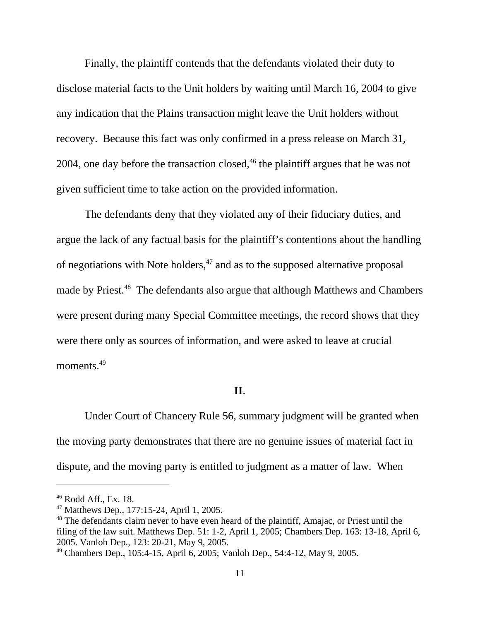Finally, the plaintiff contends that the defendants violated their duty to disclose material facts to the Unit holders by waiting until March 16, 2004 to give any indication that the Plains transaction might leave the Unit holders without recovery. Because this fact was only confirmed in a press release on March 31, 2004, one day before the transaction closed,  $46$  the plaintiff argues that he was not given sufficient time to take action on the provided information.

 The defendants deny that they violated any of their fiduciary duties, and argue the lack of any factual basis for the plaintiff's contentions about the handling of negotiations with Note holders, $47$  and as to the supposed alternative proposal made by Priest.<sup>48</sup> The defendants also argue that although Matthews and Chambers were present during many Special Committee meetings, the record shows that they were there only as sources of information, and were asked to leave at crucial moments.<sup>49</sup>

#### **II**.

Under Court of Chancery Rule 56, summary judgment will be granted when the moving party demonstrates that there are no genuine issues of material fact in dispute, and the moving party is entitled to judgment as a matter of law. When

<sup>46</sup> Rodd Aff., Ex. 18.

<sup>47</sup> Matthews Dep., 177:15-24, April 1, 2005.

<sup>&</sup>lt;sup>48</sup> The defendants claim never to have even heard of the plaintiff, Amajac, or Priest until the filing of the law suit. Matthews Dep. 51: 1-2, April 1, 2005; Chambers Dep. 163: 13-18, April 6, 2005. Vanloh Dep., 123: 20-21, May 9, 2005.

<sup>49</sup> Chambers Dep., 105:4-15, April 6, 2005; Vanloh Dep., 54:4-12, May 9, 2005.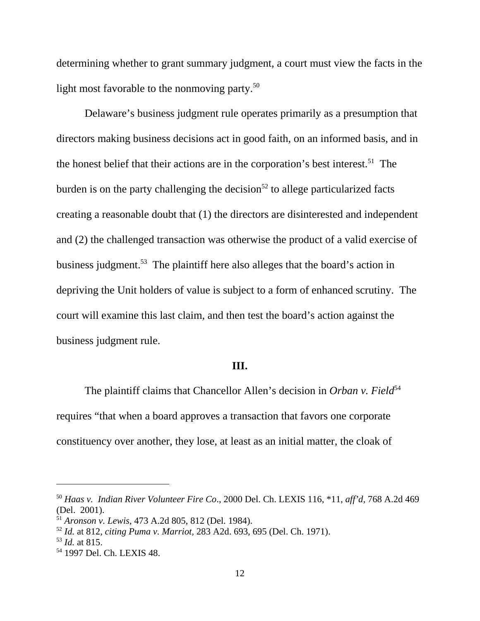determining whether to grant summary judgment, a court must view the facts in the light most favorable to the nonmoving party.<sup>50</sup>

Delaware's business judgment rule operates primarily as a presumption that directors making business decisions act in good faith, on an informed basis, and in the honest belief that their actions are in the corporation's best interest.<sup>51</sup> The burden is on the party challenging the decision<sup>52</sup> to allege particularized facts creating a reasonable doubt that (1) the directors are disinterested and independent and (2) the challenged transaction was otherwise the product of a valid exercise of business judgment.<sup>53</sup> The plaintiff here also alleges that the board's action in depriving the Unit holders of value is subject to a form of enhanced scrutiny. The court will examine this last claim, and then test the board's action against the business judgment rule.

### **III.**

The plaintiff claims that Chancellor Allen's decision in *Orban v. Field*<sup>54</sup> requires "that when a board approves a transaction that favors one corporate constituency over another, they lose, at least as an initial matter, the cloak of

<sup>50</sup> *Haas v. Indian River Volunteer Fire Co*., 2000 Del. Ch. LEXIS 116, \*11, *aff'd,* 768 A.2d 469 (Del. 2001).

<sup>51</sup> *Aronson v. Lewis,* 473 A.2d 805, 812 (Del. 1984).

<sup>52</sup> *Id.* at 812, *citing Puma v. Marriot,* 283 A2d. 693, 695 (Del. Ch. 1971).

<sup>53</sup> *Id.* at 815.

<sup>54 1997</sup> Del. Ch. LEXIS 48.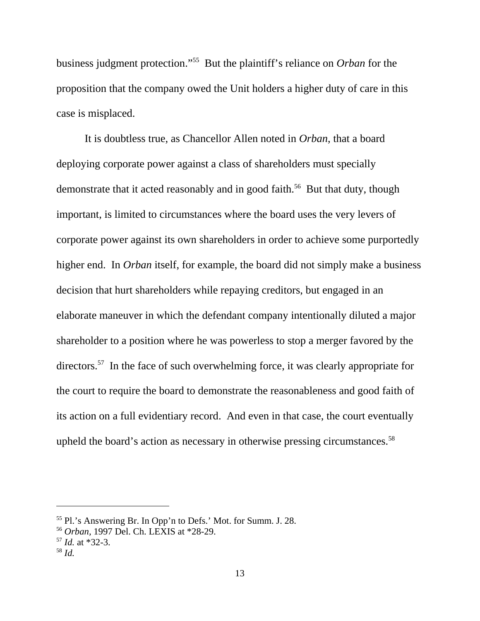business judgment protection."55 But the plaintiff's reliance on *Orban* for the proposition that the company owed the Unit holders a higher duty of care in this case is misplaced.

It is doubtless true, as Chancellor Allen noted in *Orban*, that a board deploying corporate power against a class of shareholders must specially demonstrate that it acted reasonably and in good faith.<sup>56</sup> But that duty, though important, is limited to circumstances where the board uses the very levers of corporate power against its own shareholders in order to achieve some purportedly higher end. In *Orban* itself, for example, the board did not simply make a business decision that hurt shareholders while repaying creditors, but engaged in an elaborate maneuver in which the defendant company intentionally diluted a major shareholder to a position where he was powerless to stop a merger favored by the directors.<sup>57</sup> In the face of such overwhelming force, it was clearly appropriate for the court to require the board to demonstrate the reasonableness and good faith of its action on a full evidentiary record. And even in that case, the court eventually upheld the board's action as necessary in otherwise pressing circumstances.<sup>58</sup>

<sup>55</sup> Pl.'s Answering Br. In Opp'n to Defs.' Mot. for Summ. J. 28.

<sup>56</sup> *Orban,* 1997 Del. Ch. LEXIS at \*28-29.

<sup>57</sup> *Id.* at \*32-3.

<sup>58</sup> *Id.*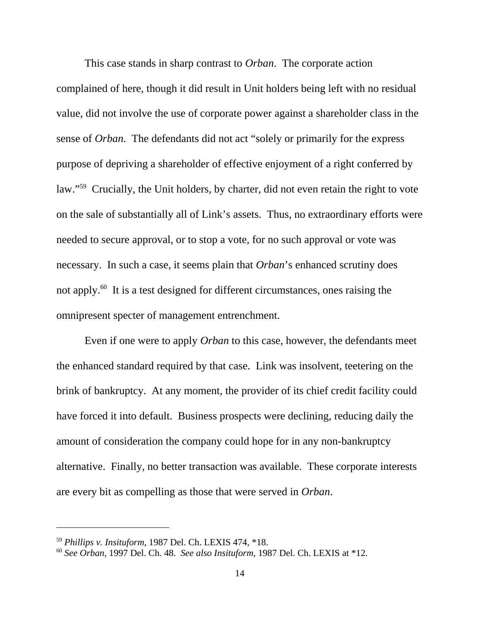This case stands in sharp contrast to *Orban*. The corporate action complained of here, though it did result in Unit holders being left with no residual value, did not involve the use of corporate power against a shareholder class in the sense of *Orban*. The defendants did not act "solely or primarily for the express purpose of depriving a shareholder of effective enjoyment of a right conferred by law."<sup>59</sup> Crucially, the Unit holders, by charter, did not even retain the right to vote on the sale of substantially all of Link's assets. Thus, no extraordinary efforts were needed to secure approval, or to stop a vote, for no such approval or vote was necessary. In such a case, it seems plain that *Orban*'s enhanced scrutiny does not apply.60 It is a test designed for different circumstances, ones raising the omnipresent specter of management entrenchment.

Even if one were to apply *Orban* to this case, however, the defendants meet the enhanced standard required by that case. Link was insolvent, teetering on the brink of bankruptcy. At any moment, the provider of its chief credit facility could have forced it into default. Business prospects were declining, reducing daily the amount of consideration the company could hope for in any non-bankruptcy alternative. Finally, no better transaction was available. These corporate interests are every bit as compelling as those that were served in *Orban*.

<sup>59</sup> *Phillips v. Insituform*, 1987 Del. Ch. LEXIS 474, \*18.

<sup>60</sup> *See Orban*, 1997 Del. Ch. 48. *See also Insituform*, 1987 Del. Ch. LEXIS at \*12.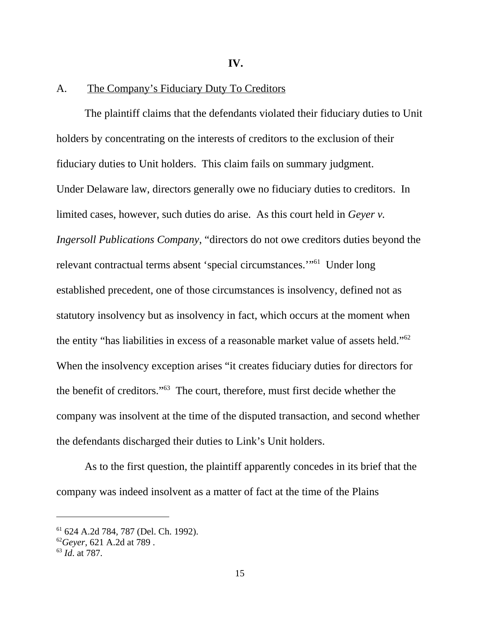**IV.** 

## A. The Company's Fiduciary Duty To Creditors

The plaintiff claims that the defendants violated their fiduciary duties to Unit holders by concentrating on the interests of creditors to the exclusion of their fiduciary duties to Unit holders. This claim fails on summary judgment. Under Delaware law, directors generally owe no fiduciary duties to creditors. In limited cases, however, such duties do arise. As this court held in *Geyer v. Ingersoll Publications Company*, "directors do not owe creditors duties beyond the relevant contractual terms absent 'special circumstances.'"61 Under long established precedent, one of those circumstances is insolvency, defined not as statutory insolvency but as insolvency in fact, which occurs at the moment when the entity "has liabilities in excess of a reasonable market value of assets held."62 When the insolvency exception arises "it creates fiduciary duties for directors for the benefit of creditors."63 The court, therefore, must first decide whether the company was insolvent at the time of the disputed transaction, and second whether the defendants discharged their duties to Link's Unit holders.

As to the first question, the plaintiff apparently concedes in its brief that the company was indeed insolvent as a matter of fact at the time of the Plains

<sup>61 624</sup> A.2d 784, 787 (Del. Ch. 1992).

<sup>62</sup>*Geyer*, 621 A.2d at 789 .

<sup>63</sup> *Id*. at 787.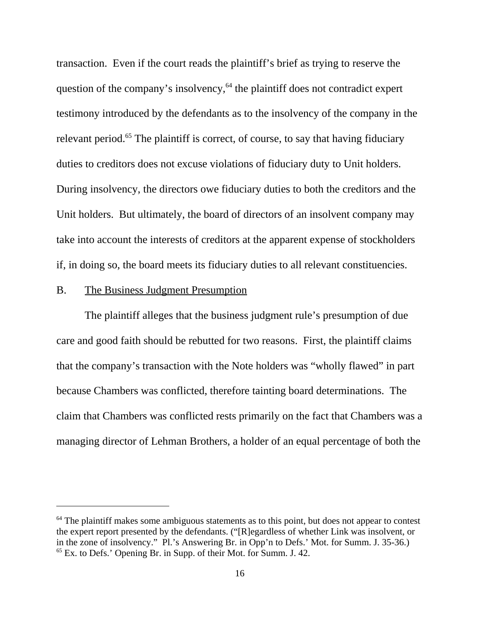transaction. Even if the court reads the plaintiff's brief as trying to reserve the question of the company's insolvency, $64$  the plaintiff does not contradict expert testimony introduced by the defendants as to the insolvency of the company in the relevant period.<sup>65</sup> The plaintiff is correct, of course, to say that having fiduciary duties to creditors does not excuse violations of fiduciary duty to Unit holders. During insolvency, the directors owe fiduciary duties to both the creditors and the Unit holders. But ultimately, the board of directors of an insolvent company may take into account the interests of creditors at the apparent expense of stockholders if, in doing so, the board meets its fiduciary duties to all relevant constituencies.

### B. The Business Judgment Presumption

The plaintiff alleges that the business judgment rule's presumption of due care and good faith should be rebutted for two reasons. First, the plaintiff claims that the company's transaction with the Note holders was "wholly flawed" in part because Chambers was conflicted, therefore tainting board determinations. The claim that Chambers was conflicted rests primarily on the fact that Chambers was a managing director of Lehman Brothers, a holder of an equal percentage of both the

 $64$  The plaintiff makes some ambiguous statements as to this point, but does not appear to contest the expert report presented by the defendants. ("[R]egardless of whether Link was insolvent, or in the zone of insolvency." Pl.'s Answering Br. in Opp'n to Defs.' Mot. for Summ. J. 35-36.) 65 Ex. to Defs.' Opening Br. in Supp. of their Mot. for Summ. J. 42.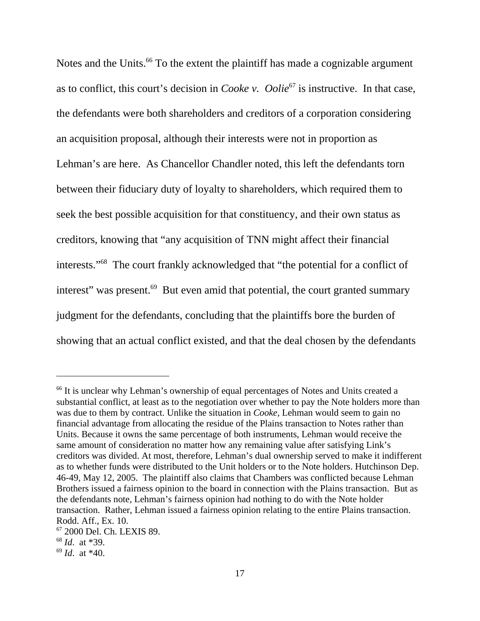Notes and the Units.<sup>66</sup> To the extent the plaintiff has made a cognizable argument as to conflict, this court's decision in *Cooke v. Oolie*<sup>67</sup> is instructive. In that case, the defendants were both shareholders and creditors of a corporation considering an acquisition proposal, although their interests were not in proportion as Lehman's are here. As Chancellor Chandler noted, this left the defendants torn between their fiduciary duty of loyalty to shareholders, which required them to seek the best possible acquisition for that constituency, and their own status as creditors, knowing that "any acquisition of TNN might affect their financial interests."68 The court frankly acknowledged that "the potential for a conflict of interest" was present.<sup>69</sup> But even amid that potential, the court granted summary judgment for the defendants, concluding that the plaintiffs bore the burden of showing that an actual conflict existed, and that the deal chosen by the defendants

<sup>&</sup>lt;sup>66</sup> It is unclear why Lehman's ownership of equal percentages of Notes and Units created a substantial conflict, at least as to the negotiation over whether to pay the Note holders more than was due to them by contract. Unlike the situation in *Cooke*, Lehman would seem to gain no financial advantage from allocating the residue of the Plains transaction to Notes rather than Units. Because it owns the same percentage of both instruments, Lehman would receive the same amount of consideration no matter how any remaining value after satisfying Link's creditors was divided. At most, therefore, Lehman's dual ownership served to make it indifferent as to whether funds were distributed to the Unit holders or to the Note holders. Hutchinson Dep. 46-49, May 12, 2005. The plaintiff also claims that Chambers was conflicted because Lehman Brothers issued a fairness opinion to the board in connection with the Plains transaction. But as the defendants note, Lehman's fairness opinion had nothing to do with the Note holder transaction. Rather, Lehman issued a fairness opinion relating to the entire Plains transaction. Rodd. Aff., Ex. 10.

<sup>67 2000</sup> Del. Ch. LEXIS 89.

<sup>68</sup> *Id*. at \*39.

<sup>69</sup> *Id*. at \*40.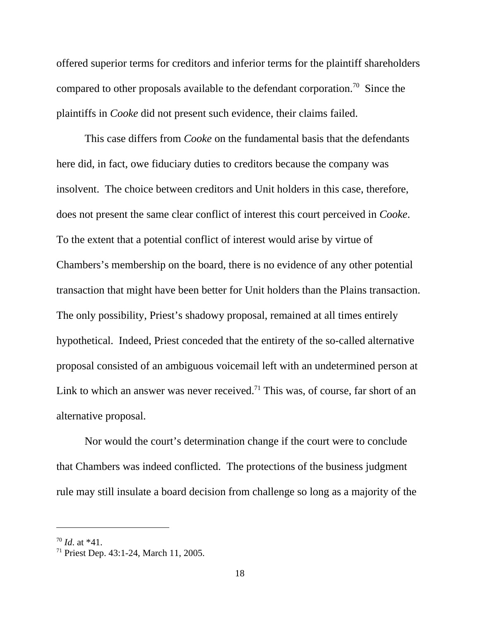offered superior terms for creditors and inferior terms for the plaintiff shareholders compared to other proposals available to the defendant corporation.<sup>70</sup> Since the plaintiffs in *Cooke* did not present such evidence, their claims failed.

This case differs from *Cooke* on the fundamental basis that the defendants here did, in fact, owe fiduciary duties to creditors because the company was insolvent. The choice between creditors and Unit holders in this case, therefore, does not present the same clear conflict of interest this court perceived in *Cooke*. To the extent that a potential conflict of interest would arise by virtue of Chambers's membership on the board, there is no evidence of any other potential transaction that might have been better for Unit holders than the Plains transaction. The only possibility, Priest's shadowy proposal, remained at all times entirely hypothetical. Indeed, Priest conceded that the entirety of the so-called alternative proposal consisted of an ambiguous voicemail left with an undetermined person at Link to which an answer was never received.<sup>71</sup> This was, of course, far short of an alternative proposal.

Nor would the court's determination change if the court were to conclude that Chambers was indeed conflicted. The protections of the business judgment rule may still insulate a board decision from challenge so long as a majority of the

 $70$  *Id.* at \*41.

<sup>71</sup> Priest Dep. 43:1-24, March 11, 2005.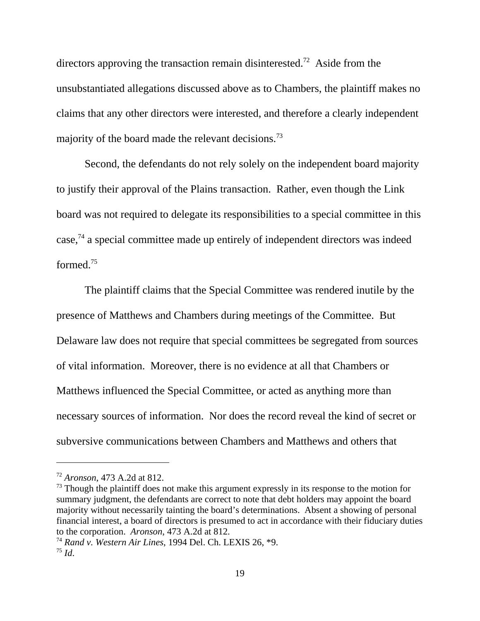directors approving the transaction remain disinterested.<sup>72</sup> Aside from the unsubstantiated allegations discussed above as to Chambers, the plaintiff makes no claims that any other directors were interested, and therefore a clearly independent majority of the board made the relevant decisions.<sup>73</sup>

Second, the defendants do not rely solely on the independent board majority to justify their approval of the Plains transaction. Rather, even though the Link board was not required to delegate its responsibilities to a special committee in this case,74 a special committee made up entirely of independent directors was indeed formed.75

The plaintiff claims that the Special Committee was rendered inutile by the presence of Matthews and Chambers during meetings of the Committee. But Delaware law does not require that special committees be segregated from sources of vital information. Moreover, there is no evidence at all that Chambers or Matthews influenced the Special Committee, or acted as anything more than necessary sources of information. Nor does the record reveal the kind of secret or subversive communications between Chambers and Matthews and others that

<sup>72</sup> *Aronson*, 473 A.2d at 812.

 $73$  Though the plaintiff does not make this argument expressly in its response to the motion for summary judgment, the defendants are correct to note that debt holders may appoint the board majority without necessarily tainting the board's determinations. Absent a showing of personal financial interest, a board of directors is presumed to act in accordance with their fiduciary duties to the corporation. *Aronson*, 473 A.2d at 812.

<sup>74</sup> *Rand v. Western Air Lines*, 1994 Del. Ch. LEXIS 26, \*9. <sup>75</sup> *Id*.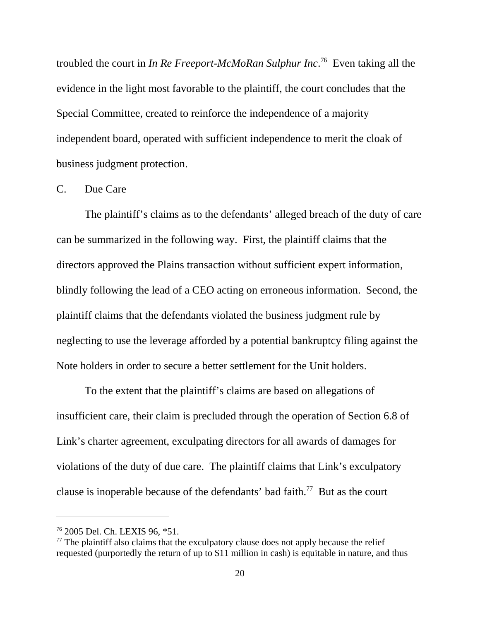troubled the court in *In Re Freeport-McMoRan Sulphur Inc*. 76 Even taking all the evidence in the light most favorable to the plaintiff, the court concludes that the Special Committee, created to reinforce the independence of a majority independent board, operated with sufficient independence to merit the cloak of business judgment protection.

#### C. Due Care

The plaintiff's claims as to the defendants' alleged breach of the duty of care can be summarized in the following way. First, the plaintiff claims that the directors approved the Plains transaction without sufficient expert information, blindly following the lead of a CEO acting on erroneous information. Second, the plaintiff claims that the defendants violated the business judgment rule by neglecting to use the leverage afforded by a potential bankruptcy filing against the Note holders in order to secure a better settlement for the Unit holders.

To the extent that the plaintiff's claims are based on allegations of insufficient care, their claim is precluded through the operation of Section 6.8 of Link's charter agreement, exculpating directors for all awards of damages for violations of the duty of due care. The plaintiff claims that Link's exculpatory clause is inoperable because of the defendants' bad faith.<sup>77</sup> But as the court

<sup>76 2005</sup> Del. Ch. LEXIS 96, \*51.

 $77$  The plaintiff also claims that the exculpatory clause does not apply because the relief requested (purportedly the return of up to \$11 million in cash) is equitable in nature, and thus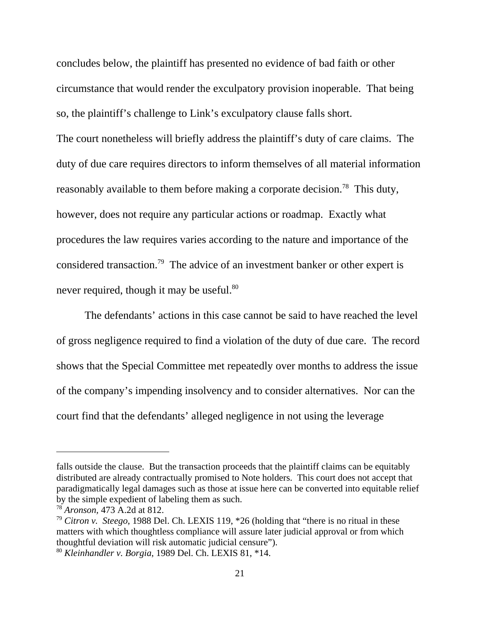concludes below, the plaintiff has presented no evidence of bad faith or other circumstance that would render the exculpatory provision inoperable. That being so, the plaintiff's challenge to Link's exculpatory clause falls short. The court nonetheless will briefly address the plaintiff's duty of care claims. The duty of due care requires directors to inform themselves of all material information reasonably available to them before making a corporate decision.<sup>78</sup> This duty, however, does not require any particular actions or roadmap. Exactly what procedures the law requires varies according to the nature and importance of the considered transaction.79 The advice of an investment banker or other expert is never required, though it may be useful.<sup>80</sup>

The defendants' actions in this case cannot be said to have reached the level of gross negligence required to find a violation of the duty of due care. The record shows that the Special Committee met repeatedly over months to address the issue of the company's impending insolvency and to consider alternatives. Nor can the court find that the defendants' alleged negligence in not using the leverage

falls outside the clause. But the transaction proceeds that the plaintiff claims can be equitably distributed are already contractually promised to Note holders. This court does not accept that paradigmatically legal damages such as those at issue here can be converted into equitable relief by the simple expedient of labeling them as such.

<sup>78</sup> *Aronson,* 473 A.2d at 812.

<sup>79</sup> *Citron v. Steego*, 1988 Del. Ch. LEXIS 119, \*26 (holding that "there is no ritual in these matters with which thoughtless compliance will assure later judicial approval or from which thoughtful deviation will risk automatic judicial censure").

<sup>80</sup> *Kleinhandler v. Borgia*, 1989 Del. Ch. LEXIS 81, \*14.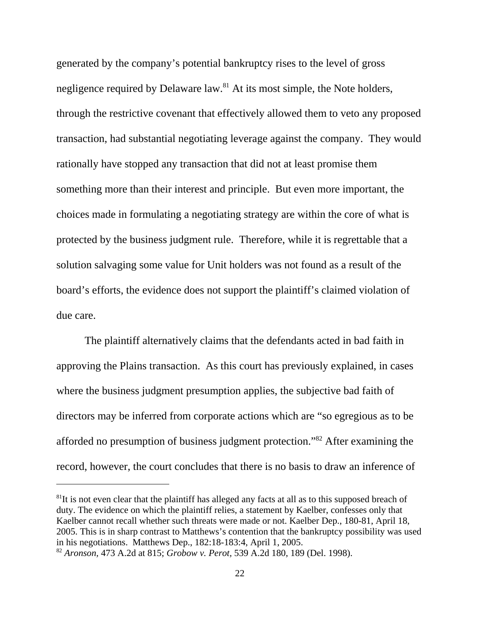generated by the company's potential bankruptcy rises to the level of gross negligence required by Delaware law.<sup>81</sup> At its most simple, the Note holders, through the restrictive covenant that effectively allowed them to veto any proposed transaction, had substantial negotiating leverage against the company. They would rationally have stopped any transaction that did not at least promise them something more than their interest and principle. But even more important, the choices made in formulating a negotiating strategy are within the core of what is protected by the business judgment rule. Therefore, while it is regrettable that a solution salvaging some value for Unit holders was not found as a result of the board's efforts, the evidence does not support the plaintiff's claimed violation of due care.

The plaintiff alternatively claims that the defendants acted in bad faith in approving the Plains transaction. As this court has previously explained, in cases where the business judgment presumption applies, the subjective bad faith of directors may be inferred from corporate actions which are "so egregious as to be afforded no presumption of business judgment protection."82 After examining the record, however, the court concludes that there is no basis to draw an inference of

 ${}^{81}$ It is not even clear that the plaintiff has alleged any facts at all as to this supposed breach of duty. The evidence on which the plaintiff relies, a statement by Kaelber, confesses only that Kaelber cannot recall whether such threats were made or not. Kaelber Dep., 180-81, April 18, 2005. This is in sharp contrast to Matthews's contention that the bankruptcy possibility was used in his negotiations. Matthews Dep., 182:18-183:4, April 1, 2005.

<sup>82</sup> *Aronson,* 473 A.2d at 815; *Grobow v. Perot,* 539 A.2d 180, 189 (Del. 1998).